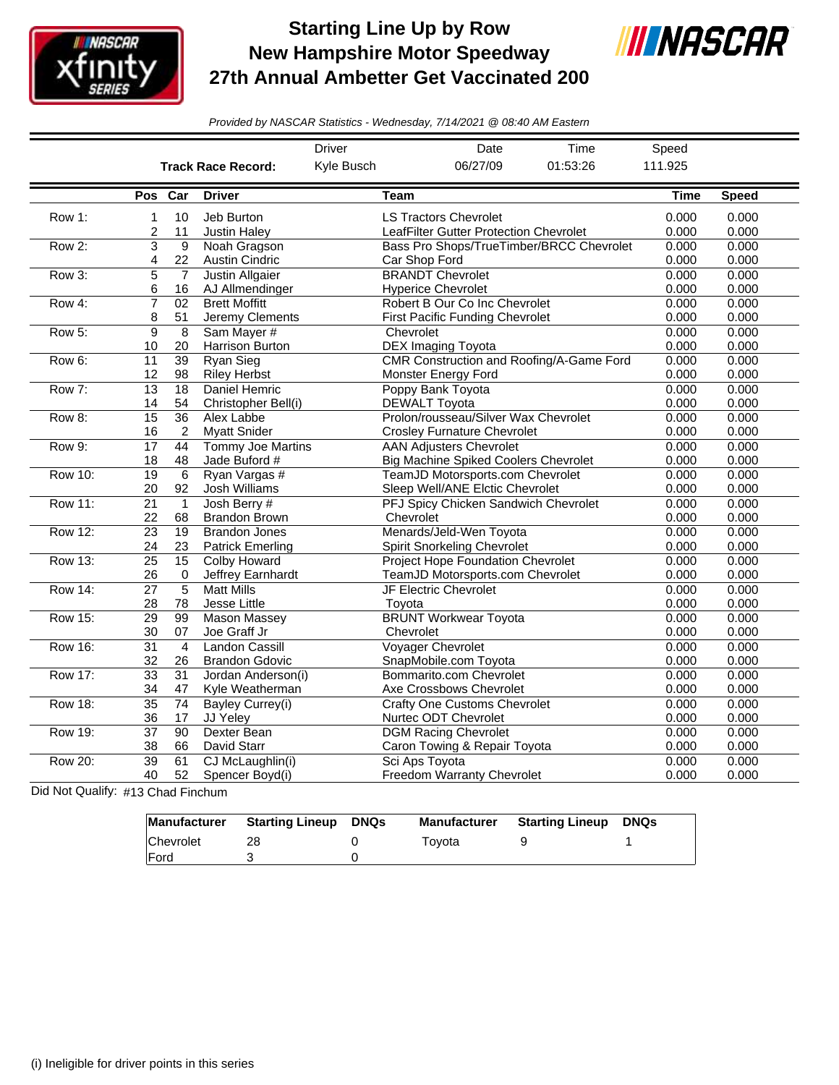

## **Starting Line Up by Row New Hampshire Motor Speedway 27th Annual Ambetter Get Vaccinated 200**



*Provided by NASCAR Statistics - Wednesday, 7/14/2021 @ 08:40 AM Eastern*

|                |                 |                 |                           | <b>Driver</b> | Date                                        | Time                                     | Speed       |              |
|----------------|-----------------|-----------------|---------------------------|---------------|---------------------------------------------|------------------------------------------|-------------|--------------|
|                |                 |                 | <b>Track Race Record:</b> | Kyle Busch    | 06/27/09                                    | 01:53:26                                 | 111.925     |              |
|                | Pos             | Car             | <b>Driver</b>             |               | Team                                        |                                          | <b>Time</b> | <b>Speed</b> |
| Row 1:         | 1               | 10              | Jeb Burton                |               | <b>LS Tractors Chevrolet</b>                |                                          | 0.000       | 0.000        |
|                | 2               | 11              | <b>Justin Haley</b>       |               | LeafFilter Gutter Protection Chevrolet      |                                          | 0.000       | 0.000        |
| Row 2:         | 3               | 9               | Noah Gragson              |               |                                             | Bass Pro Shops/TrueTimber/BRCC Chevrolet | 0.000       | 0.000        |
|                | 4               | 22              | <b>Austin Cindric</b>     |               | Car Shop Ford                               |                                          | 0.000       | 0.000        |
| Row 3:         | 5               | $\overline{7}$  | <b>Justin Allgaier</b>    |               | <b>BRANDT Chevrolet</b>                     |                                          | 0.000       | 0.000        |
|                | 6               | 16              | AJ Allmendinger           |               | <b>Hyperice Chevrolet</b>                   |                                          | 0.000       | 0.000        |
| Row 4:         | $\overline{7}$  | $\overline{02}$ | <b>Brett Moffitt</b>      |               | Robert B Our Co Inc Chevrolet               |                                          | 0.000       | 0.000        |
|                | 8               | 51              | Jeremy Clements           |               | <b>First Pacific Funding Chevrolet</b>      |                                          | 0.000       | 0.000        |
| Row 5:         | 9               | 8               | Sam Mayer #               |               | Chevrolet                                   |                                          | 0.000       | 0.000        |
|                | 10              | 20              | Harrison Burton           |               | <b>DEX Imaging Toyota</b>                   |                                          | 0.000       | 0.000        |
| Row 6:         | 11              | 39              | Ryan Sieg                 |               |                                             | CMR Construction and Roofing/A-Game Ford | 0.000       | 0.000        |
|                | 12              | 98              | <b>Riley Herbst</b>       |               | Monster Energy Ford                         |                                          | 0.000       | 0.000        |
| Row 7:         | $\overline{13}$ | 18              | Daniel Hemric             |               | Poppy Bank Toyota                           |                                          | 0.000       | 0.000        |
|                | 14              | 54              | Christopher Bell(i)       |               | <b>DEWALT Toyota</b>                        |                                          | 0.000       | 0.000        |
| Row 8:         | $\overline{15}$ | $\overline{36}$ | Alex Labbe                |               | Prolon/rousseau/Silver Wax Chevrolet        |                                          | 0.000       | 0.000        |
|                | 16              | 2               | <b>Myatt Snider</b>       |               | <b>Crosley Furnature Chevrolet</b>          |                                          | 0.000       | 0.000        |
| Row 9:         | 17              | 44              | <b>Tommy Joe Martins</b>  |               | <b>AAN Adjusters Chevrolet</b>              |                                          | 0.000       | 0.000        |
|                | 18              | 48              | Jade Buford #             |               | <b>Big Machine Spiked Coolers Chevrolet</b> |                                          | 0.000       | 0.000        |
| <b>Row 10:</b> | $\overline{19}$ | 6               | Ryan Vargas #             |               | TeamJD Motorsports.com Chevrolet            |                                          | 0.000       | 0.000        |
|                | 20              | 92              | Josh Williams             |               | Sleep Well/ANE Elctic Chevrolet             |                                          | 0.000       | 0.000        |
| <b>Row 11:</b> | $\overline{21}$ | $\mathbf{1}$    | Josh Berry #              |               | PFJ Spicy Chicken Sandwich Chevrolet        |                                          | 0.000       | 0.000        |
|                | 22              | 68              | <b>Brandon Brown</b>      |               | Chevrolet                                   |                                          | 0.000       | 0.000        |
| Row 12:        | 23              | 19              | <b>Brandon Jones</b>      |               | Menards/Jeld-Wen Toyota                     |                                          | 0.000       | 0.000        |
|                | 24              | 23              | <b>Patrick Emerling</b>   |               | <b>Spirit Snorkeling Chevrolet</b>          |                                          | 0.000       | 0.000        |
| Row 13:        | $\overline{25}$ | $\overline{15}$ | <b>Colby Howard</b>       |               | <b>Project Hope Foundation Chevrolet</b>    |                                          | 0.000       | 0.000        |
|                | 26              | $\mathbf 0$     | Jeffrey Earnhardt         |               | TeamJD Motorsports.com Chevrolet            |                                          | 0.000       | 0.000        |
| <b>Row 14:</b> | 27              | $\overline{5}$  | <b>Matt Mills</b>         |               | JF Electric Chevrolet                       |                                          | 0.000       | 0.000        |
|                | 28              | 78              | Jesse Little              |               | Tovota                                      |                                          | 0.000       | 0.000        |
| <b>Row 15:</b> | $\overline{29}$ | 99              | Mason Massey              |               | <b>BRUNT Workwear Toyota</b>                |                                          | 0.000       | 0.000        |
|                | 30              | 07              | Joe Graff Jr              |               | Chevrolet                                   |                                          | 0.000       | 0.000        |
| <b>Row 16:</b> | $\overline{31}$ | $\overline{4}$  | <b>Landon Cassill</b>     |               | <b>Voyager Chevrolet</b>                    |                                          | 0.000       | 0.000        |
|                | 32              | 26              | <b>Brandon Gdovic</b>     |               | SnapMobile.com Toyota                       |                                          | 0.000       | 0.000        |
| <b>Row 17:</b> | $\overline{33}$ | 31              | Jordan Anderson(i)        |               | Bommarito.com Chevrolet                     |                                          | 0.000       | 0.000        |
|                | 34              | 47              | Kyle Weatherman           |               | Axe Crossbows Chevrolet                     |                                          | 0.000       | 0.000        |
| <b>Row 18:</b> | $\overline{35}$ | $\overline{74}$ | Bayley Currey(i)          |               | <b>Crafty One Customs Chevrolet</b>         |                                          | 0.000       | 0.000        |
|                | 36              | 17              | JJ Yeley                  |               | Nurtec ODT Chevrolet                        |                                          | 0.000       | 0.000        |
| Row 19:        | $\overline{37}$ | $\overline{90}$ | Dexter Bean               |               | <b>DGM Racing Chevrolet</b>                 |                                          | 0.000       | 0.000        |
|                | 38              | 66              | David Starr               |               | Caron Towing & Repair Toyota                |                                          | 0.000       | 0.000        |
| <b>Row 20:</b> | $\overline{39}$ | 61              | CJ McLaughlin(i)          |               | Sci Aps Toyota                              |                                          | 0.000       | 0.000        |
|                | 40              | 52              | Spencer Boyd(i)           |               | <b>Freedom Warranty Chevrolet</b>           |                                          | 0.000       | 0.000        |
|                |                 |                 |                           |               |                                             |                                          |             |              |

Did Not Qualify: #13 Chad Finchum

|                  | Manufacturer Starting Lineup | DNQs | <b>Manufacturer</b> | <b>Starting Lineup</b> | DNQs |
|------------------|------------------------------|------|---------------------|------------------------|------|
| <b>Chevrolet</b> |                              |      | Tovota              |                        |      |
| <b>IFord</b>     |                              |      |                     |                        |      |